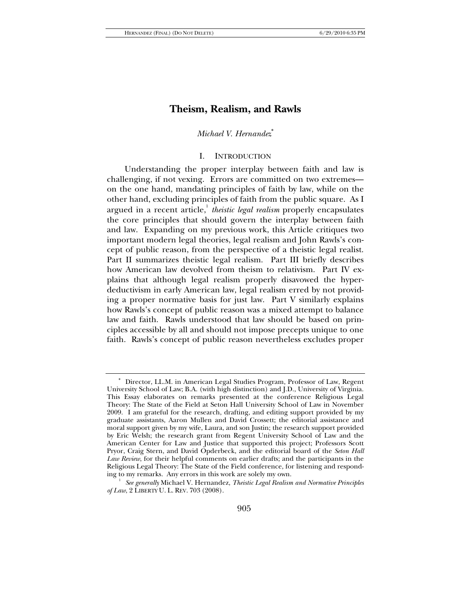# **Theism, Realism, and Rawls**

### *Michael V. Hernandez*<sup>∗</sup>

#### I. INTRODUCTION

Understanding the proper interplay between faith and law is challenging, if not vexing. Errors are committed on two extremes on the one hand, mandating principles of faith by law, while on the other hand, excluding principles of faith from the public square. As I argued in a recent article, *theistic legal realism* properly encapsulates the core principles that should govern the interplay between faith and law. Expanding on my previous work, this Article critiques two important modern legal theories, legal realism and John Rawls's concept of public reason, from the perspective of a theistic legal realist. Part II summarizes theistic legal realism. Part III briefly describes how American law devolved from theism to relativism. Part IV explains that although legal realism properly disavowed the hyperdeductivism in early American law, legal realism erred by not providing a proper normative basis for just law. Part V similarly explains how Rawls's concept of public reason was a mixed attempt to balance law and faith. Rawls understood that law should be based on principles accessible by all and should not impose precepts unique to one faith. Rawls's concept of public reason nevertheless excludes proper

Director, LL.M. in American Legal Studies Program, Professor of Law, Regent University School of Law; B.A. (with high distinction) and J.D., University of Virginia. This Essay elaborates on remarks presented at the conference Religious Legal Theory: The State of the Field at Seton Hall University School of Law in November 2009. I am grateful for the research, drafting, and editing support provided by my graduate assistants, Aaron Mullen and David Crossett; the editorial assistance and moral support given by my wife, Laura, and son Justin; the research support provided by Eric Welsh; the research grant from Regent University School of Law and the American Center for Law and Justice that supported this project; Professors Scott Pryor, Craig Stern, and David Opderbeck, and the editorial board of the *Seton Hall Law Review*, for their helpful comments on earlier drafts; and the participants in the Religious Legal Theory: The State of the Field conference, for listening and responding to my remarks. Any errors in this work are solely my own. 1

*See generally* Michael V. Hernandez, *Theistic Legal Realism and Normative Principles of Law*, 2 LIBERTY U. L. REV. 703 (2008).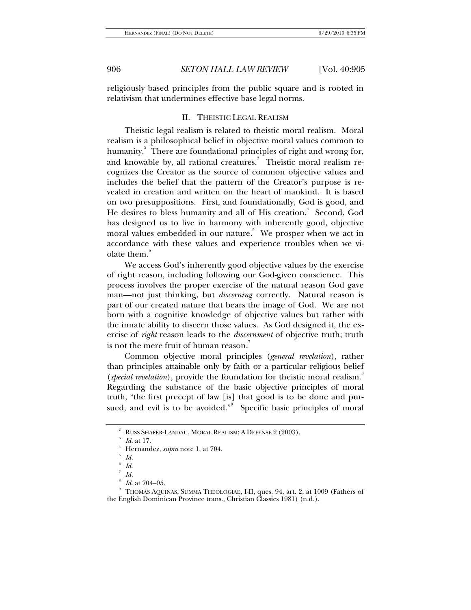religiously based principles from the public square and is rooted in relativism that undermines effective base legal norms.

#### II. THEISTIC LEGAL REALISM

Theistic legal realism is related to theistic moral realism. Moral realism is a philosophical belief in objective moral values common to humanity.<sup>2</sup> There are foundational principles of right and wrong for, and knowable by, all rational creatures.<sup>3</sup> Theistic moral realism recognizes the Creator as the source of common objective values and includes the belief that the pattern of the Creator's purpose is revealed in creation and written on the heart of mankind. It is based on two presuppositions. First, and foundationally, God is good, and He desires to bless humanity and all of His creation.<sup>4</sup> Second, God has designed us to live in harmony with inherently good, objective moral values embedded in our nature.<sup>5</sup> We prosper when we act in accordance with these values and experience troubles when we violate them. $6$ 

We access God's inherently good objective values by the exercise of right reason, including following our God-given conscience. This process involves the proper exercise of the natural reason God gave man—not just thinking, but *discerning* correctly. Natural reason is part of our created nature that bears the image of God. We are not born with a cognitive knowledge of objective values but rather with the innate ability to discern those values. As God designed it, the exercise of *right* reason leads to the *discernment* of objective truth; truth is not the mere fruit of human reason.

Common objective moral principles (*general revelation*), rather than principles attainable only by faith or a particular religious belief (*special revelation*), provide the foundation for theistic moral realism.<sup>8</sup> Regarding the substance of the basic objective principles of moral truth, "the first precept of law [is] that good is to be done and pursued, and evil is to be avoided." Specific basic principles of moral

8

<sup>2</sup> RUSS SHAFER-LANDAU, MORAL REALISM: A DEFENSE 2 (2003).

*Id.* at 17.

Hernandez, *supra* note 1, at 704.

*Id.*

<sup>6</sup>  *Id.*

<sup>7</sup>  *Id.*

*Id.* at 704–05.

THOMAS AQUINAS, SUMMA THEOLOGIAE, I-II, ques. 94, art. 2, at 1009 (Fathers of the English Dominican Province trans., Christian Classics 1981) (n.d.).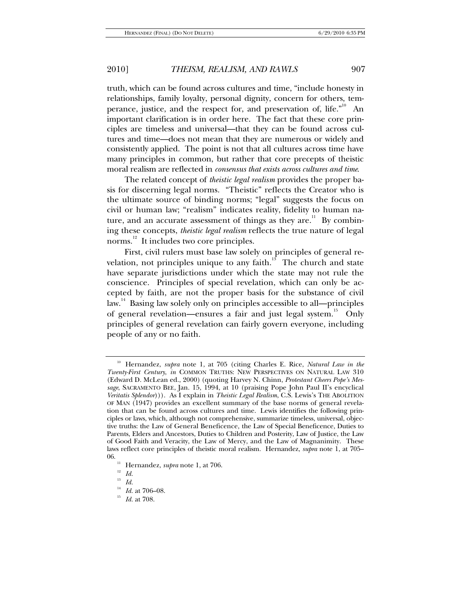truth, which can be found across cultures and time, "include honesty in relationships, family loyalty, personal dignity, concern for others, temperance, justice, and the respect for, and preservation of, life. $i^{10}$  An important clarification is in order here. The fact that these core principles are timeless and universal—that they can be found across cultures and time—does not mean that they are numerous or widely and consistently applied. The point is not that all cultures across time have many principles in common, but rather that core precepts of theistic moral realism are reflected in *consensus that exists across cultures and time*.

The related concept of *theistic legal realism* provides the proper basis for discerning legal norms. "Theistic" reflects the Creator who is the ultimate source of binding norms; "legal" suggests the focus on civil or human law; "realism" indicates reality, fidelity to human nature, and an accurate assessment of things as they are.<sup>11</sup> By combining these concepts, *theistic legal realism* reflects the true nature of legal norms.<sup>12</sup> It includes two core principles.

First, civil rulers must base law solely on principles of general revelation, not principles unique to any faith.<sup>13</sup> The church and state have separate jurisdictions under which the state may not rule the conscience. Principles of special revelation, which can only be accepted by faith, are not the proper basis for the substance of civil law.<sup>14</sup> Basing law solely only on principles accessible to all—principles of general revelation—ensures a fair and just legal system.<sup>15</sup> Only principles of general revelation can fairly govern everyone, including people of any or no faith.

<sup>10</sup> Hernandez, *supra* note 1, at 705 (citing Charles E. Rice, *Natural Law in the Twenty-First Century*, *in* COMMON TRUTHS: NEW PERSPECTIVES ON NATURAL LAW 310 (Edward D. McLean ed., 2000) (quoting Harvey N. Chinn, *Protestant Cheers Pope's Message*, SACRAMENTO BEE, Jan. 15, 1994, at 10 (praising Pope John Paul II's encyclical *Veritatis Splendor*))). As I explain in *Theistic Legal Realism*, C.S. Lewis's THE ABOLITION OF MAN (1947) provides an excellent summary of the base norms of general revelation that can be found across cultures and time. Lewis identifies the following principles or laws, which, although not comprehensive, summarize timeless, universal, objective truths: the Law of General Beneficence, the Law of Special Beneficence, Duties to Parents, Elders and Ancestors, Duties to Children and Posterity, Law of Justice, the Law of Good Faith and Veracity, the Law of Mercy, and the Law of Magnanimity. These laws reflect core principles of theistic moral realism. Hernandez, *supra* note 1, at 705– 06. 11 Hernandez, *supra* note 1, at 706. 12 *Id.* 13 *Id.*

<sup>&</sup>lt;sup>14</sup> *Id.* at 706–08.<br><sup>15</sup> *Id.* at 708.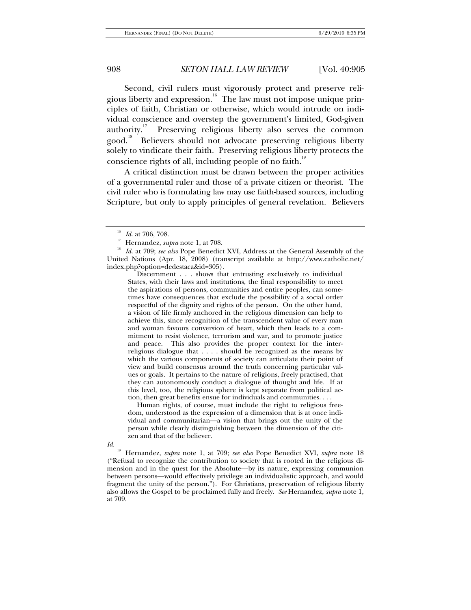Second, civil rulers must vigorously protect and preserve religious liberty and expression.<sup>16</sup> The law must not impose unique principles of faith, Christian or otherwise, which would intrude on individual conscience and overstep the government's limited, God-given authority.<sup>17</sup> Preserving religious liberty also serves the common good.18 Believers should not advocate preserving religious liberty solely to vindicate their faith. Preserving religious liberty protects the conscience rights of all, including people of no faith.<sup>19</sup>

A critical distinction must be drawn between the proper activities of a governmental ruler and those of a private citizen or theorist. The civil ruler who is formulating law may use faith-based sources, including Scripture, but only to apply principles of general revelation. Believers

 Discernment . . . shows that entrusting exclusively to individual States, with their laws and institutions, the final responsibility to meet the aspirations of persons, communities and entire peoples, can sometimes have consequences that exclude the possibility of a social order respectful of the dignity and rights of the person. On the other hand, a vision of life firmly anchored in the religious dimension can help to achieve this, since recognition of the transcendent value of every man and woman favours conversion of heart, which then leads to a commitment to resist violence, terrorism and war, and to promote justice and peace. This also provides the proper context for the interreligious dialogue that . . . . should be recognized as the means by which the various components of society can articulate their point of view and build consensus around the truth concerning particular values or goals. It pertains to the nature of religions, freely practised, that they can autonomously conduct a dialogue of thought and life. If at this level, too, the religious sphere is kept separate from political action, then great benefits ensue for individuals and communities. . . .

 Human rights, of course, must include the right to religious freedom, understood as the expression of a dimension that is at once individual and communitarian—a vision that brings out the unity of the person while clearly distinguishing between the dimension of the citizen and that of the believer.

*Id.*

19 Hernandez, *supra* note 1, at 709; *see also* Pope Benedict XVI, *supra* note 18 ("Refusal to recognize the contribution to society that is rooted in the religious dimension and in the quest for the Absolute—by its nature, expressing communion between persons—would effectively privilege an individualistic approach, and would fragment the unity of the person."). For Christians, preservation of religious liberty also allows the Gospel to be proclaimed fully and freely. *See* Hernandez, *supra* note 1, at 709.

<sup>&</sup>lt;sup>16</sup> Id. at 706, 708.<br><sup>17</sup> Hernandez, *supra* note 1, at 708.<br><sup>18</sup> Id. at 709; *see also* Pope Benedict XVI, Address at the General Assembly of the United Nations (Apr. 18, 2008) (transcript available at http://www.catholic.net/ index.php?option=dedestaca&id=305).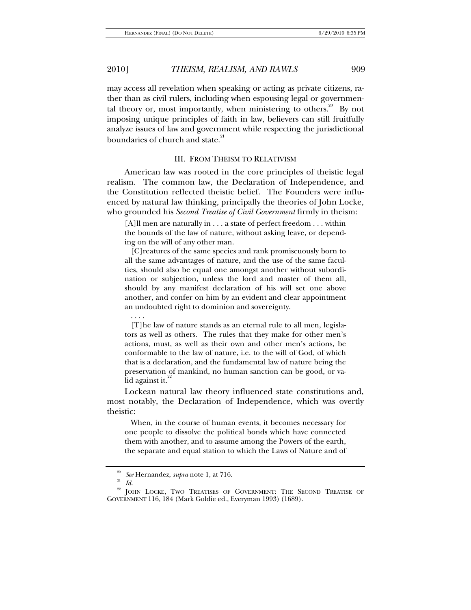may access all revelation when speaking or acting as private citizens, rather than as civil rulers, including when espousing legal or governmental theory or, most importantly, when ministering to others.<sup>20</sup> By not imposing unique principles of faith in law, believers can still fruitfully analyze issues of law and government while respecting the jurisdictional boundaries of church and state.<sup>21</sup>

#### III. FROM THEISM TO RELATIVISM

American law was rooted in the core principles of theistic legal realism. The common law, the Declaration of Independence, and the Constitution reflected theistic belief. The Founders were influenced by natural law thinking, principally the theories of John Locke, who grounded his *Second Treatise of Civil Government* firmly in theism:

[A]ll men are naturally in . . . a state of perfect freedom . . . within the bounds of the law of nature, without asking leave, or depending on the will of any other man.

 [C]reatures of the same species and rank promiscuously born to all the same advantages of nature, and the use of the same faculties, should also be equal one amongst another without subordination or subjection, unless the lord and master of them all, should by any manifest declaration of his will set one above another, and confer on him by an evident and clear appointment an undoubted right to dominion and sovereignty.

. . . .

 [T]he law of nature stands as an eternal rule to all men, legislators as well as others. The rules that they make for other men's actions, must, as well as their own and other men's actions, be conformable to the law of nature, i.e. to the will of God, of which that is a declaration, and the fundamental law of nature being the preservation of mankind, no human sanction can be good, or valid against it. $\overline{a}$ 

Lockean natural law theory influenced state constitutions and, most notably, the Declaration of Independence, which was overtly theistic:

 When, in the course of human events, it becomes necessary for one people to dissolve the political bonds which have connected them with another, and to assume among the Powers of the earth, the separate and equal station to which the Laws of Nature and of

<sup>20</sup> *See* Hernandez, *supra* note 1, at 716. 21 *Id.*

<sup>&</sup>lt;sup>22</sup> JOHN LOCKE, TWO TREATISES OF GOVERNMENT: THE SECOND TREATISE OF GOVERNMENT 116, 184 (Mark Goldie ed., Everyman 1993) (1689).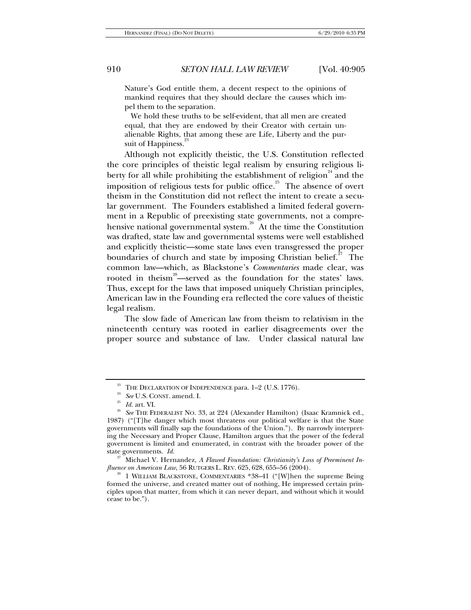Nature's God entitle them, a decent respect to the opinions of mankind requires that they should declare the causes which impel them to the separation.

 We hold these truths to be self-evident, that all men are created equal, that they are endowed by their Creator with certain unalienable Rights, that among these are Life, Liberty and the pursuit of Happiness.<sup>2</sup>

Although not explicitly theistic, the U.S. Constitution reflected the core principles of theistic legal realism by ensuring religious liberty for all while prohibiting the establishment of religion<sup>24</sup> and the imposition of religious tests for public office.<sup>25</sup> The absence of overt theism in the Constitution did not reflect the intent to create a secular government. The Founders established a limited federal government in a Republic of preexisting state governments, not a comprehensive national governmental system.<sup>26</sup> At the time the Constitution was drafted, state law and governmental systems were well established and explicitly theistic—some state laws even transgressed the proper boundaries of church and state by imposing Christian belief.<sup> $27$ </sup> The common law—which, as Blackstone's *Commentaries* made clear, was rooted in theism<sup>28</sup>—served as the foundation for the states' laws. Thus, except for the laws that imposed uniquely Christian principles, American law in the Founding era reflected the core values of theistic legal realism.

The slow fade of American law from theism to relativism in the nineteenth century was rooted in earlier disagreements over the proper source and substance of law. Under classical natural law

<sup>&</sup>lt;sup>23</sup> THE DECLARATION OF INDEPENDENCE para. 1–2 (U.S. 1776).<br><sup>24</sup> See U.S. CONST. amend. I.<br><sup>25</sup> Id. art. VI. 26 *See* THE FEDERALIST NO. 33, at 224 (Alexander Hamilton) (Isaac Kramnick ed., 1987) ("[T]he danger which most threatens our political welfare is that the State governments will finally sap the foundations of the Union."). By narrowly interpreting the Necessary and Proper Clause, Hamilton argues that the power of the federal government is limited and enumerated, in contrast with the broader power of the state governments. *Id.*

<sup>&</sup>lt;sup>27</sup> Michael V. Hernandez, *A Flawed Foundation: Christianity's Loss of Preeminent In-*<br> *fluence on American Law*, 56 RUTGERS L. REV. 625, 628, 655–56 (2004).

<sup>&</sup>lt;sup>28</sup> 1 WILLIAM BLACKSTONE, COMMENTARIES \*38–41 ("[W]hen the supreme Being formed the universe, and created matter out of nothing, He impressed certain principles upon that matter, from which it can never depart, and without which it would cease to be.").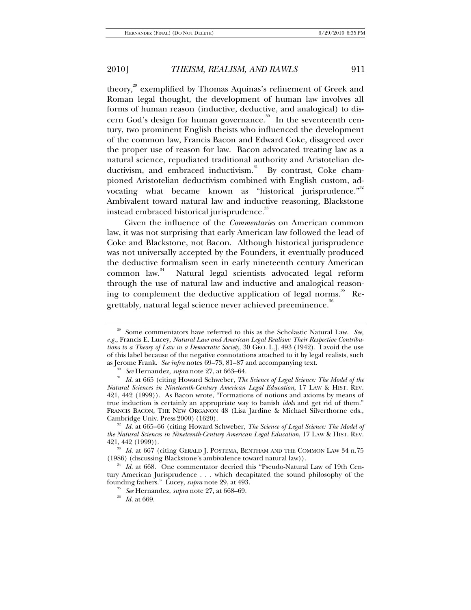theory,<sup>29</sup> exemplified by Thomas Aquinas's refinement of Greek and Roman legal thought, the development of human law involves all forms of human reason (inductive, deductive, and analogical) to discern God's design for human governance.<sup>30</sup> In the seventeenth century, two prominent English theists who influenced the development of the common law, Francis Bacon and Edward Coke, disagreed over the proper use of reason for law. Bacon advocated treating law as a natural science, repudiated traditional authority and Aristotelian deductivism, and embraced inductivism.<sup>31</sup> By contrast, Coke championed Aristotelian deductivism combined with English custom, advocating what became known as "historical jurisprudence."<sup>32</sup> Ambivalent toward natural law and inductive reasoning, Blackstone instead embraced historical jurisprudence.<sup>33</sup>

Given the influence of the *Commentaries* on American common law, it was not surprising that early American law followed the lead of Coke and Blackstone, not Bacon. Although historical jurisprudence was not universally accepted by the Founders, it eventually produced the deductive formalism seen in early nineteenth century American common law.<sup>34</sup> Natural legal scientists advocated legal reform through the use of natural law and inductive and analogical reasoning to complement the deductive application of legal norms.<sup>35</sup> Regrettably, natural legal science never achieved preeminence.<sup>36</sup>

<sup>&</sup>lt;sup>29</sup> Some commentators have referred to this as the Scholastic Natural Law. See, *e.g.*, Francis E. Lucey, *Natural Law and American Legal Realism: Their Respective Contributions to a Theory of Law in a Democratic Society*, 30 GEO. L.J. 493 (1942). I avoid the use of this label because of the negative connotations attached to it by legal realists, such as Jerome Frank. See infrances  $69-73$ ,  $81-87$  and accompanying text.

<sup>&</sup>lt;sup>30</sup> See Hernandez, supra note 27, at 663–64.<br><sup>31</sup> Id. at 665 (citing Howard Schweber, *The Science of Legal Science: The Model of the Natural Sciences in Nineteenth-Century American Legal Education*, 17 LAW & HIST. REV. 421, 442 (1999)). As Bacon wrote, "Formations of notions and axioms by means of true induction is certainly an appropriate way to banish *idols* and get rid of them." FRANCIS BACON, THE NEW ORGANON 48 (Lisa Jardine & Michael Silverthorne eds., Cambridge Univ. Press 2000) (1620).

<sup>32</sup> *Id.* at 665–66 (citing Howard Schweber, *The Science of Legal Science: The Model of the Natural Sciences in Nineteenth-Century American Legal Education*, 17 LAW & HIST. REV.

<sup>&</sup>lt;sup>33</sup> Id. at 667 (citing GERALD J. POSTEMA, BENTHAM AND THE COMMON LAW 34 n.75 (1986) (discussing Blackstone's ambivalence toward natural law)).

<sup>&</sup>lt;sup>34</sup> Id. at 668. One commentator decried this "Pseudo-Natural Law of 19th Century American Jurisprudence . . . which decapitated the sound philosophy of the founding fathers." Lucey, *supra* note 29, at 493.

founding fathers." Lucey, *supra* note 29, at 493. 35 *See* Hernandez, *supra* note 27, at 668–69. 36 *Id.* at 669.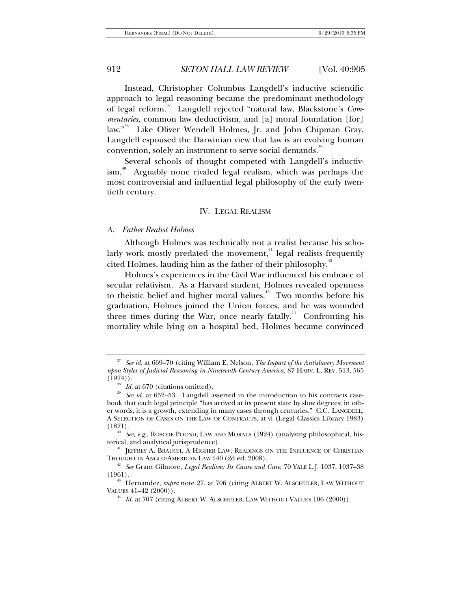Instead, Christopher Columbus Langdell's inductive scientific approach to legal reasoning became the predominant methodology of legal reform.37 Langdell rejected "natural law, Blackstone's *Commentaries*, common law deductivism, and [a] moral foundation [for] law."<sup>38</sup> Like Oliver Wendell Holmes, Jr. and John Chipman Gray, Langdell espoused the Darwinian view that law is an evolving human convention, solely an instrument to serve social demands.<sup>39</sup>

Several schools of thought competed with Langdell's inductivism.<sup>40</sup> Arguably none rivaled legal realism, which was perhaps the most controversial and influential legal philosophy of the early twentieth century.

#### IV. LEGAL REALISM

#### *A. Father Realist Holmes*

Although Holmes was technically not a realist because his scholarly work mostly predated the movement, $\frac{41}{1}$  legal realists frequently cited Holmes, lauding him as the father of their philosophy.<sup> $42$ </sup>

Holmes's experiences in the Civil War influenced his embrace of secular relativism. As a Harvard student, Holmes revealed openness to theistic belief and higher moral values.<sup>43</sup> Two months before his graduation, Holmes joined the Union forces, and he was wounded three times during the War, once nearly fatally.<sup>44</sup> Confronting his mortality while lying on a hospital bed, Holmes became convinced

<sup>37</sup> *See id.* at 669–70 (citing William E. Nelson, *The Impact of the Antislavery Movement upon Styles of Judicial Reasoning in Nineteenth Century America*, 87 HARV. L. REV. 513, 565

<sup>&</sup>lt;sup>38</sup> *Id.* at 670 (citations omitted). <sup>39</sup> See id. at 652–53. Langdell asserted in the introduction to his contracts casebook that each legal principle "has arrived at its present state by slow degrees; in other words, it is a growth, extending in many cases through centuries." C.C. LANGDELL, A SELECTION OF CASES ON THE LAW OF CONTRACTS, at vi (Legal Classics Library 1983)

<sup>(1871).&</sup>lt;br><sup>40</sup> See, e.g., ROSCOE POUND, LAW AND MORALS (1924) (analyzing philosophical, historical, and analytical jurisprudence).

 $^{\rm 41}$ JEFFREY A. BRAUCH, A HIGHER LAW: READINGS ON THE INFLUENCE OF CHRISTIAN THOUGHT IN ANGLO-AMERICAN LAW 140 (2d ed. 2008).

<sup>&</sup>lt;sup>42</sup> See Grant Gilmore, *Legal Realism: Its Cause and Cure*, 70 YALE L.J. 1037, 1037–38 (1961).

 $^{43}$  Hernandez, *supra* note 27, at 706 (citing ALBERT W. ALSCHULER, LAW WITHOUT VALUES  $41-42$  (2000)).

<sup>&</sup>lt;sup>44</sup> Id. at 707 (citing ALBERT W. ALSCHULER, LAW WITHOUT VALUES 106 (2000)).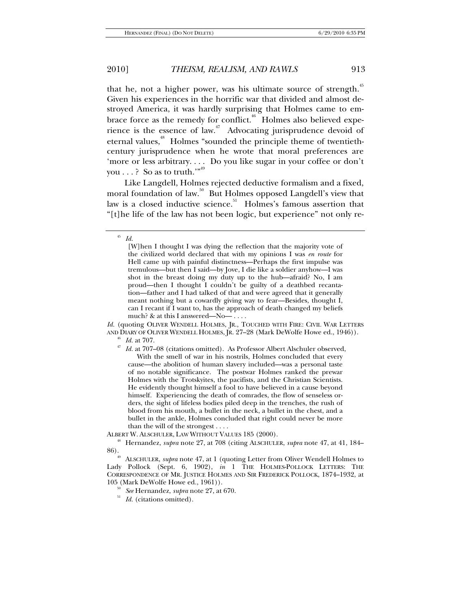that he, not a higher power, was his ultimate source of strength.<sup>45</sup> Given his experiences in the horrific war that divided and almost destroyed America, it was hardly surprising that Holmes came to embrace force as the remedy for conflict.<sup>46</sup> Holmes also believed experience is the essence of law.<sup>47</sup> Advocating jurisprudence devoid of eternal values,<sup>48</sup> Holmes "sounded the principle theme of twentiethcentury jurisprudence when he wrote that moral preferences are 'more or less arbitrary. . . . Do you like sugar in your coffee or don't you  $\dots$  ? So as to truth."<sup>49</sup>

Like Langdell, Holmes rejected deductive formalism and a fixed, moral foundation of law.<sup>50</sup> But Holmes opposed Langdell's view that law is a closed inductive science.<sup>51</sup> Holmes's famous assertion that "[t]he life of the law has not been logic, but experience" not only re-

<sup>45</sup> *Id.*

*Id.* (quoting OLIVER WENDELL HOLMES, JR., TOUCHED WITH FIRE: CIVIL WAR LETTERS AND DIARY OF OLIVER WENDELL HOLMES, JR. 27–28 (Mark DeWolfe Howe ed., 1946)).

<sup>46</sup> Id. at 707.<br><sup>47</sup> Id. at 707–08 (citations omitted). As Professor Albert Alschuler observed, With the smell of war in his nostrils, Holmes concluded that every cause—the abolition of human slavery included—was a personal taste of no notable significance. The postwar Holmes ranked the prewar Holmes with the Trotskyites, the pacifists, and the Christian Scientists. He evidently thought himself a fool to have believed in a cause beyond himself. Experiencing the death of comrades, the flow of senseless orders, the sight of lifeless bodies piled deep in the trenches, the rush of blood from his mouth, a bullet in the neck, a bullet in the chest, and a bullet in the ankle, Holmes concluded that right could never be more than the will of the strongest . . . .

<sup>[</sup>W]hen I thought I was dying the reflection that the majority vote of the civilized world declared that with my opinions I was *en route* for Hell came up with painful distinctness—Perhaps the first impulse was tremulous—but then I said—by Jove, I die like a soldier anyhow—I was shot in the breast doing my duty up to the hub—afraid? No, I am proud—then I thought I couldn't be guilty of a deathbed recantation—father and I had talked of that and were agreed that it generally meant nothing but a cowardly giving way to fear—Besides, thought I, can I recant if I want to, has the approach of death changed my beliefs much? & at this I answered—No— . . . .

ALBERT W. ALSCHULER, LAW WITHOUT VALUES 185 (2000). 48 Hernandez, *supra* note 27, at 708 (citing ALSCHULER, *supra* note 47, at 41, 184–

<sup>86). 49</sup> ALSCHULER, *supra* note 47, at 1 (quoting Letter from Oliver Wendell Holmes to Lady Pollock (Sept. 6, 1902),  $in$  1 THE HOLMES-POLLOCK LETTERS: THE CORRESPONDENCE OF MR. JUSTICE HOLMES AND SIR FREDERICK POLLOCK, 1874–1932, at

<sup>&</sup>lt;sup>50</sup> See Hernandez, *supra* note 27, at 670.<br><sup>51</sup> Id. (citations omitted).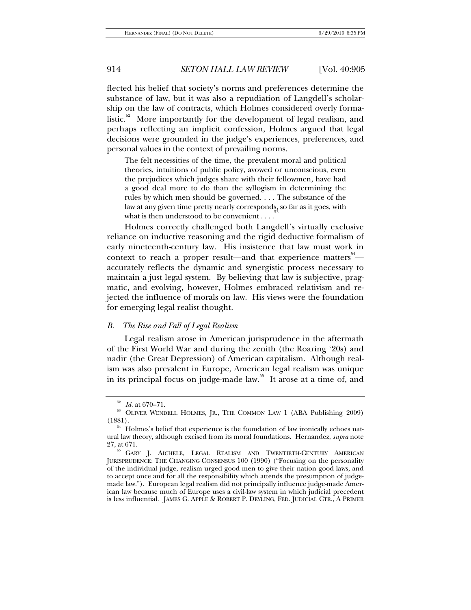flected his belief that society's norms and preferences determine the substance of law, but it was also a repudiation of Langdell's scholarship on the law of contracts, which Holmes considered overly formalistic.<sup>52</sup> More importantly for the development of legal realism, and perhaps reflecting an implicit confession, Holmes argued that legal decisions were grounded in the judge's experiences, preferences, and personal values in the context of prevailing norms.

The felt necessities of the time, the prevalent moral and political theories, intuitions of public policy, avowed or unconscious, even the prejudices which judges share with their fellowmen, have had a good deal more to do than the syllogism in determining the rules by which men should be governed. . . . The substance of the law at any given time pretty nearly corresponds, so far as it goes, with what is then understood to be convenient  $\dots$ .

Holmes correctly challenged both Langdell's virtually exclusive reliance on inductive reasoning and the rigid deductive formalism of early nineteenth-century law. His insistence that law must work in context to reach a proper result—and that experience matters $54$  accurately reflects the dynamic and synergistic process necessary to maintain a just legal system. By believing that law is subjective, pragmatic, and evolving, however, Holmes embraced relativism and rejected the influence of morals on law. His views were the foundation for emerging legal realist thought.

## *B. The Rise and Fall of Legal Realism*

Legal realism arose in American jurisprudence in the aftermath of the First World War and during the zenith (the Roaring '20s) and nadir (the Great Depression) of American capitalism. Although realism was also prevalent in Europe, American legal realism was unique in its principal focus on judge-made law.<sup>55</sup> It arose at a time of, and

 $^{52}$   $\,$   $Id.$  at 670–71.  $^{53}$  OLIVER WENDELL HOLMES, JR., THE COMMON LAW 1 (ABA Publishing 2009) (1881).<br> $^{54}$  Holmes's belief that experience is the foundation of law ironically echoes nat-

ural law theory, although excised from its moral foundations. Hernandez, *supra* note

GARY J. AICHELE, LEGAL REALISM AND TWENTIETH-CENTURY AMERICAN JURISPRUDENCE: THE CHANGING CONSENSUS 100 (1990) ("Focusing on the personality of the individual judge, realism urged good men to give their nation good laws, and to accept once and for all the responsibility which attends the presumption of judgemade law."). European legal realism did not principally influence judge-made American law because much of Europe uses a civil-law system in which judicial precedent is less influential. JAMES G. APPLE & ROBERT P. DEYLING, FED. JUDICIAL CTR., A PRIMER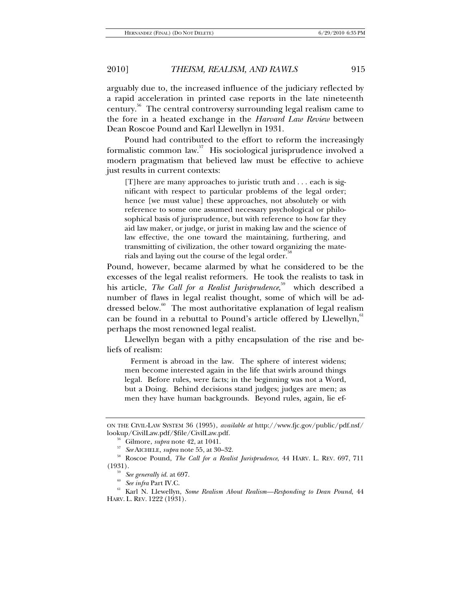arguably due to, the increased influence of the judiciary reflected by a rapid acceleration in printed case reports in the late nineteenth century.<sup>56</sup> The central controversy surrounding legal realism came to the fore in a heated exchange in the *Harvard Law Review* between Dean Roscoe Pound and Karl Llewellyn in 1931.

Pound had contributed to the effort to reform the increasingly formalistic common law.57 His sociological jurisprudence involved a modern pragmatism that believed law must be effective to achieve just results in current contexts:

[T]here are many approaches to juristic truth and . . . each is significant with respect to particular problems of the legal order; hence [we must value] these approaches, not absolutely or with reference to some one assumed necessary psychological or philosophical basis of jurisprudence, but with reference to how far they aid law maker, or judge, or jurist in making law and the science of law effective, the one toward the maintaining, furthering, and transmitting of civilization, the other toward organizing the materials and laying out the course of the legal order.

Pound, however, became alarmed by what he considered to be the excesses of the legal realist reformers. He took the realists to task in his article, *The Call for a Realist Jurisprudence*, 59 which described a number of flaws in legal realist thought, some of which will be addressed below.<sup>60</sup> The most authoritative explanation of legal realism can be found in a rebuttal to Pound's article offered by Llewellyn, $\frac{61}{10}$ perhaps the most renowned legal realist.

Llewellyn began with a pithy encapsulation of the rise and beliefs of realism:

 Ferment is abroad in the law. The sphere of interest widens; men become interested again in the life that swirls around things legal. Before rules, were facts; in the beginning was not a Word, but a Doing. Behind decisions stand judges; judges are men; as men they have human backgrounds. Beyond rules, again, lie ef-

ON THE CIVIL-LAW SYSTEM 36 (1995), *available at* http://www.fjc.gov/public/pdf.nsf/ lookup/CivilLaw.pdf/\$file/CivilLaw.pdf. 56 Gilmore, *supra* note 42, at 1041.

<sup>&</sup>lt;sup>58</sup> Roscoe Pound, *The Call for a Realist Jurisprudence*, 44 HARV. L. REV. 697, 711

<sup>(1931). 59</sup> *See generally id.* at 697. 60 *See infra* Part IV.C. 61 Karl N. Llewellyn, *Some Realism About Realism—Responding to Dean Pound*, 44 HARV. L. REV. 1222 (1931).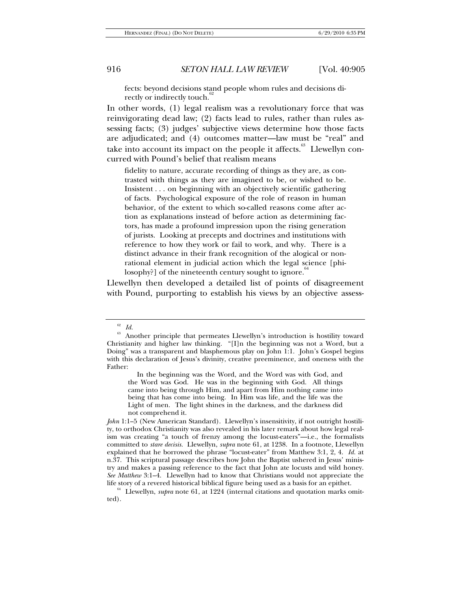fects: beyond decisions stand people whom rules and decisions directly or indirectly touch.<sup>4</sup>

In other words, (1) legal realism was a revolutionary force that was reinvigorating dead law; (2) facts lead to rules, rather than rules assessing facts; (3) judges' subjective views determine how those facts are adjudicated; and (4) outcomes matter—law must be "real" and take into account its impact on the people it affects. $\frac{63}{12}$  Llewellyn concurred with Pound's belief that realism means

fidelity to nature, accurate recording of things as they are, as contrasted with things as they are imagined to be, or wished to be. Insistent . . . on beginning with an objectively scientific gathering of facts. Psychological exposure of the role of reason in human behavior, of the extent to which so-called reasons come after action as explanations instead of before action as determining factors, has made a profound impression upon the rising generation of jurists. Looking at precepts and doctrines and institutions with reference to how they work or fail to work, and why. There is a distinct advance in their frank recognition of the alogical or nonrational element in judicial action which the legal science [philosophy?] of the nineteenth century sought to ignore.<sup>8</sup>

Llewellyn then developed a detailed list of points of disagreement with Pound, purporting to establish his views by an objective assess-

<sup>62</sup> *Id.*

<sup>&</sup>lt;sup>63</sup> Another principle that permeates Llewellyn's introduction is hostility toward Christianity and higher law thinking. "[I]n the beginning was not a Word, but a Doing" was a transparent and blasphemous play on John 1:1. John's Gospel begins with this declaration of Jesus's divinity, creative preeminence, and oneness with the Father:

In the beginning was the Word, and the Word was with God, and the Word was God. He was in the beginning with God. All things came into being through Him, and apart from Him nothing came into being that has come into being. In Him was life, and the life was the Light of men. The light shines in the darkness, and the darkness did not comprehend it.

*John* 1:1–5 (New American Standard). Llewellyn's insensitivity, if not outright hostility, to orthodox Christianity was also revealed in his later remark about how legal realism was creating "a touch of frenzy among the locust-eaters"—i.e., the formalists committed to *stare decisis.* Llewellyn, *supra* note 61, at 1238. In a footnote, Llewellyn explained that he borrowed the phrase "locust-eater" from Matthew 3:1, 2, 4. *Id.* at n.37. This scriptural passage describes how John the Baptist ushered in Jesus' ministry and makes a passing reference to the fact that John ate locusts and wild honey. *See Matthew* 3:1–4. Llewellyn had to know that Christians would not appreciate the life story of a revered historical biblical figure being used as a basis for an epithet.<br><sup>64</sup> Llewellyn, *supra* note 61, at 1224 (internal citations and quotation marks omit-

ted).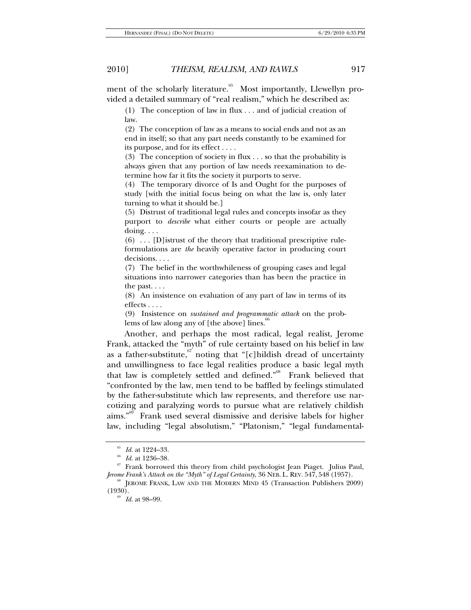ment of the scholarly literature. $65$  Most importantly, Llewellyn provided a detailed summary of "real realism," which he described as:

(1) The conception of law in flux . . . and of judicial creation of law.

(2) The conception of law as a means to social ends and not as an end in itself; so that any part needs constantly to be examined for its purpose, and for its effect . . . .

(3) The conception of society in flux . . . so that the probability is always given that any portion of law needs reexamination to determine how far it fits the society it purports to serve.

(4) The temporary divorce of Is and Ought for the purposes of study [with the initial focus being on what the law is, only later turning to what it should be.]

(5) Distrust of traditional legal rules and concepts insofar as they purport to *describe* what either courts or people are actually doing. . . .

 $(6)$  ... [D] is trust of the theory that traditional prescriptive ruleformulations are *the* heavily operative factor in producing court decisions. . . .

(7) The belief in the worthwhileness of grouping cases and legal situations into narrower categories than has been the practice in the past. . . .

(8) An insistence on evaluation of any part of law in terms of its effects . . . .

(9) Insistence on *sustained and programmatic attack* on the problems of law along any of [the above] lines.<sup>6</sup>

Another, and perhaps the most radical, legal realist, Jerome Frank, attacked the "myth" of rule certainty based on his belief in law as a father-substitute,  $\frac{67}{7}$  noting that "[c]hildish dread of uncertainty and unwillingness to face legal realities produce a basic legal myth that law is completely settled and defined."<sup>68</sup> Frank believed that "confronted by the law, men tend to be baffled by feelings stimulated by the father-substitute which law represents, and therefore use narcotizing and paralyzing words to pursue what are relatively childish aims."69 Frank used several dismissive and derisive labels for higher law, including "legal absolutism," "Platonism," "legal fundamental-

<sup>&</sup>lt;sup>65</sup> *Id.* at 1224–33.<br><sup>66</sup> *Id.* at 1236–38.<br><sup>67</sup> Frank borrowed this theory from child psychologist Jean Piaget. Julius Paul,<br>*Jerome Frank's Attack on the "Myth" of Legal Certainty*, 36 NEB. L. REV. 547, 548 (1957).

<sup>&</sup>lt;sup>68</sup> JEROME FRANK, LAW AND THE MODERN MIND 45 (Transaction Publishers 2009) (1930).

<sup>(1930). 69</sup> *Id.* at 98–99.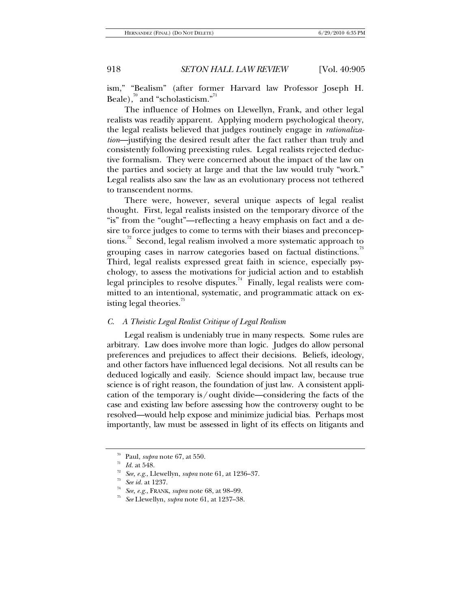ism," "Bealism" (after former Harvard law Professor Joseph H. Beale), $\frac{70}{10}$  and "scholasticism."<sup>71</sup>

The influence of Holmes on Llewellyn, Frank, and other legal realists was readily apparent. Applying modern psychological theory, the legal realists believed that judges routinely engage in *rationalization*—justifying the desired result after the fact rather than truly and consistently following preexisting rules. Legal realists rejected deductive formalism. They were concerned about the impact of the law on the parties and society at large and that the law would truly "work." Legal realists also saw the law as an evolutionary process not tethered to transcendent norms.

There were, however, several unique aspects of legal realist thought. First, legal realists insisted on the temporary divorce of the "is" from the "ought"—reflecting a heavy emphasis on fact and a desire to force judges to come to terms with their biases and preconceptions.<sup>72</sup> Second, legal realism involved a more systematic approach to grouping cases in narrow categories based on factual distinctions.<sup>73</sup> Third, legal realists expressed great faith in science, especially psychology, to assess the motivations for judicial action and to establish legal principles to resolve disputes.<sup>74</sup> Finally, legal realists were committed to an intentional, systematic, and programmatic attack on existing legal theories. $\frac{75}{6}$ 

## *C. A Theistic Legal Realist Critique of Legal Realism*

Legal realism is undeniably true in many respects. Some rules are arbitrary. Law does involve more than logic. Judges do allow personal preferences and prejudices to affect their decisions. Beliefs, ideology, and other factors have influenced legal decisions. Not all results can be deduced logically and easily. Science should impact law, because true science is of right reason, the foundation of just law. A consistent application of the temporary is/ought divide—considering the facts of the case and existing law before assessing how the controversy ought to be resolved—would help expose and minimize judicial bias. Perhaps most importantly, law must be assessed in light of its effects on litigants and

<sup>&</sup>lt;sup>70</sup> Paul, *supra* note 67, at 550.<br>
<sup>71</sup> *Id.* at 548.<br>
<sup>72</sup> *See, e.g.*, Llewellyn, *supra* note 61, at 1236–37.<br>
<sup>73</sup> *See id.* at 1237.<br>
<sup>74</sup> *See, e.g.*, FRANK, *supra* note 68, at 98–99.<br>
<sup>75</sup> *See* Llewellyn, *supr*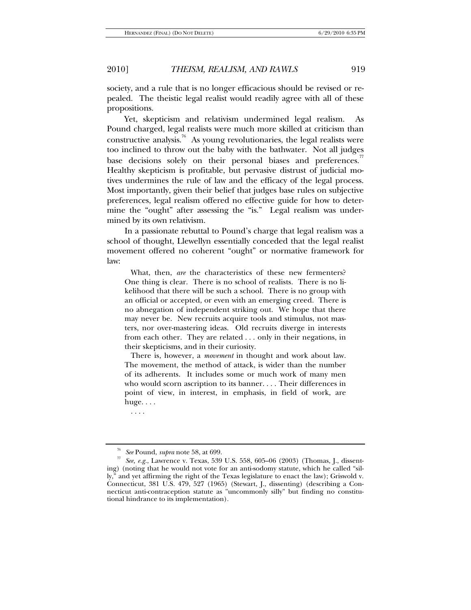society, and a rule that is no longer efficacious should be revised or repealed. The theistic legal realist would readily agree with all of these propositions.

Yet, skepticism and relativism undermined legal realism. As Pound charged, legal realists were much more skilled at criticism than constructive analysis.<sup>76</sup> As young revolutionaries, the legal realists were too inclined to throw out the baby with the bathwater. Not all judges base decisions solely on their personal biases and preferences.<sup>77</sup> Healthy skepticism is profitable, but pervasive distrust of judicial motives undermines the rule of law and the efficacy of the legal process. Most importantly, given their belief that judges base rules on subjective preferences, legal realism offered no effective guide for how to determine the "ought" after assessing the "is." Legal realism was undermined by its own relativism.

In a passionate rebuttal to Pound's charge that legal realism was a school of thought, Llewellyn essentially conceded that the legal realist movement offered no coherent "ought" or normative framework for law:

What, then, *are* the characteristics of these new fermenters? One thing is clear. There is no school of realists. There is no likelihood that there will be such a school. There is no group with an official or accepted, or even with an emerging creed. There is no abnegation of independent striking out. We hope that there may never be. New recruits acquire tools and stimulus, not masters, nor over-mastering ideas. Old recruits diverge in interests from each other. They are related . . . only in their negations, in their skepticisms, and in their curiosity.

 There is, however, a *movement* in thought and work about law. The movement, the method of attack, is wider than the number of its adherents. It includes some or much work of many men who would scorn ascription to its banner. . . . Their differences in point of view, in interest, in emphasis, in field of work, are huge. . . .

. . . .

*See* Pound, *supra* note 58, at 699.<br>*See, e.g.*, Lawrence v. Texas, 539 U.S. 558, 605–06 (2003) (Thomas, J., dissenting) (noting that he would not vote for an anti-sodomy statute, which he called "silly," and yet affirming the right of the Texas legislature to enact the law); Griswold v. Connecticut, 381 U.S. 479, 527 (1965) (Stewart, J., dissenting) (describing a Connecticut anti-contraception statute as "uncommonly silly" but finding no constitutional hindrance to its implementation).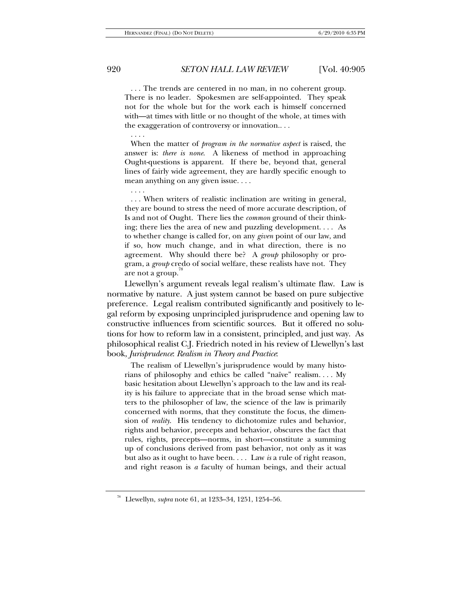. . . .

#### 920 *SETON HALL LAW REVIEW* [Vol. 40:905

 . . . The trends are centered in no man, in no coherent group. There is no leader. Spokesmen are self-appointed. They speak not for the whole but for the work each is himself concerned with—at times with little or no thought of the whole, at times with the exaggeration of controversy or innovation.. . .

 When the matter of *program in the normative aspect* is raised, the answer is: *there is none*. A likeness of method in approaching Ought-questions is apparent. If there be, beyond that, general lines of fairly wide agreement, they are hardly specific enough to mean anything on any given issue. . . .

 . . . . . . . When writers of realistic inclination are writing in general, they are bound to stress the need of more accurate description, of Is and not of Ought. There lies the *common* ground of their thinking; there lies the area of new and puzzling development. . . . As to whether change is called for, on any *given* point of our law, and if so, how much change, and in what direction, there is no agreement. Why should there be? A *group* philosophy or program, a *group* credo of social welfare, these realists have not. They are not a group.

Llewellyn's argument reveals legal realism's ultimate flaw. Law is normative by nature. A just system cannot be based on pure subjective preference. Legal realism contributed significantly and positively to legal reform by exposing unprincipled jurisprudence and opening law to constructive influences from scientific sources. But it offered no solutions for how to reform law in a consistent, principled, and just way. As philosophical realist C.J. Friedrich noted in his review of Llewellyn's last book, *Jurisprudence*: *Realism in Theory and Practice*:

 The realism of Llewellyn's jurisprudence would by many historians of philosophy and ethics be called "naïve" realism. . . . My basic hesitation about Llewellyn's approach to the law and its reality is his failure to appreciate that in the broad sense which matters to the philosopher of law, the science of the law is primarily concerned with norms, that they constitute the focus, the dimension of *reality*. His tendency to dichotomize rules and behavior, rights and behavior, precepts and behavior, obscures the fact that rules, rights, precepts—norms, in short—constitute a summing up of conclusions derived from past behavior, not only as it was but also as it ought to have been. . . . Law *is* a rule of right reason, and right reason is *a* faculty of human beings, and their actual

<sup>78</sup> Llewellyn, *supra* note 61, at 1233–34, 1251, 1254–56.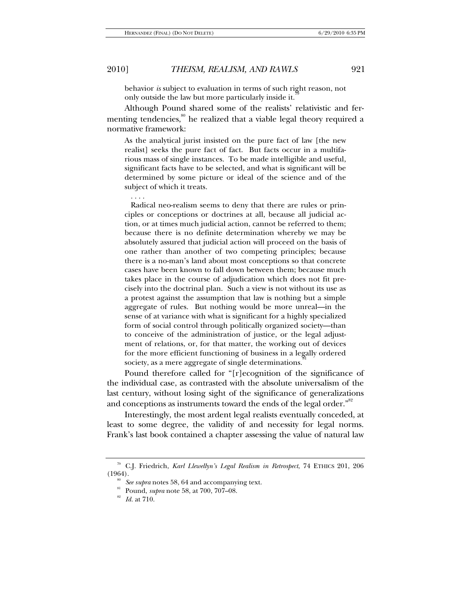behavior *is* subject to evaluation in terms of such right reason, not only outside the law but more particularly inside it.

Although Pound shared some of the realists' relativistic and fermenting tendencies, $\frac{80}{3}$  he realized that a viable legal theory required a normative framework:

As the analytical jurist insisted on the pure fact of law [the new realist] seeks the pure fact of fact. But facts occur in a multifarious mass of single instances. To be made intelligible and useful, significant facts have to be selected, and what is significant will be determined by some picture or ideal of the science and of the subject of which it treats.

. . . .

 Radical neo-realism seems to deny that there are rules or principles or conceptions or doctrines at all, because all judicial action, or at times much judicial action, cannot be referred to them; because there is no definite determination whereby we may be absolutely assured that judicial action will proceed on the basis of one rather than another of two competing principles; because there is a no-man's land about most conceptions so that concrete cases have been known to fall down between them; because much takes place in the course of adjudication which does not fit precisely into the doctrinal plan. Such a view is not without its use as a protest against the assumption that law is nothing but a simple aggregate of rules. But nothing would be more unreal—in the sense of at variance with what is significant for a highly specialized form of social control through politically organized society—than to conceive of the administration of justice, or the legal adjustment of relations, or, for that matter, the working out of devices for the more efficient functioning of business in a legally ordered society, as a mere aggregate of single determinations.

Pound therefore called for "[r]ecognition of the significance of the individual case, as contrasted with the absolute universalism of the last century, without losing sight of the significance of generalizations and conceptions as instruments toward the ends of the legal order."<sup>82</sup>

Interestingly, the most ardent legal realists eventually conceded, at least to some degree, the validity of and necessity for legal norms. Frank's last book contained a chapter assessing the value of natural law

<sup>79</sup> C.J. Friedrich, *Karl Llewellyn's Legal Realism in Retrospect*, 74 ETHICS 201, 206

<sup>(1964). 80</sup> *See supra* notes 58, 64 and accompanying text. 81 Pound, *supra* note 58, at 700, 707–08. 82 *Id.* at 710.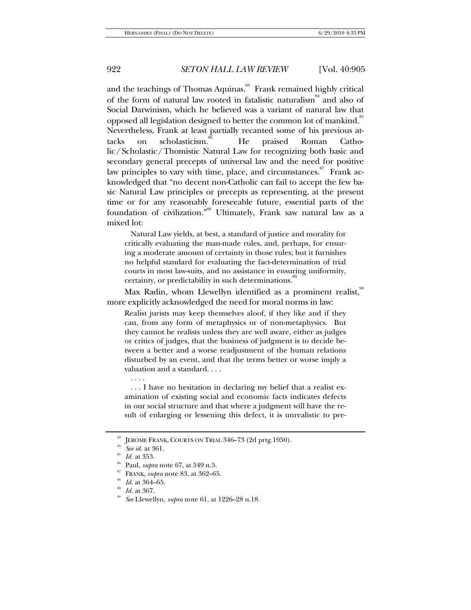and the teachings of Thomas Aquinas.<sup>83</sup> Frank remained highly critical of the form of natural law rooted in fatalistic naturalism<sup>84</sup> and also of Social Darwinism, which he believed was a variant of natural law that opposed all legislation designed to better the common lot of mankind.<sup>85</sup> Nevertheless, Frank at least partially recanted some of his previous attacks on scholasticism.<sup>86</sup> He praised Roman Catholic/Scholastic/Thomistic Natural Law for recognizing both basic and secondary general precepts of universal law and the need for positive law principles to vary with time, place, and circumstances. $\frac{87}{15}$  Frank acknowledged that "no decent non-Catholic can fail to accept the few basic Natural Law principles or precepts as representing, at the present time or for any reasonably foreseeable future, essential parts of the foundation of civilization."<sup>88</sup> Ultimately, Frank saw natural law as a mixed lot:

 Natural Law yields, at best, a standard of justice and morality for critically evaluating the man-made rules, and, perhaps, for ensuring a moderate amount of certainty in those rules; but it furnishes no helpful standard for evaluating the fact-determination of trial courts in most law-suits, and no assistance in ensuring uniformity, certainty, or predictability in such determinations.

Max Radin, whom Llewellyn identified as a prominent realist,<sup>90</sup> more explicitly acknowledged the need for moral norms in law:

Realist jurists may keep themselves aloof, if they like and if they can, from any form of metaphysics or of non-metaphysics. But they cannot be realists unless they are well aware, either as judges or critics of judges, that the business of judgment is to decide between a better and a worse readjustment of the human relations disturbed by an event, and that the terms better or worse imply a valuation and a standard. . . .

 . . . I have no hesitation in declaring my belief that a realist examination of existing social and economic facts indicates defects in our social structure and that where a judgment will have the result of enlarging or lessening this defect, it is unrealistic to pre-

. . . .

<sup>&</sup>lt;sup>88</sup> JEROME FRANK, COURTS ON TRIAL 346–73 (2d prtg.1950).<br><sup>84</sup> *See id.* at 361.<br><sup>85</sup> *Id.* at 353.<br><sup>86</sup> Paul, *supra* note 67, at 549 n.5.<br><sup>87</sup> FRANK, *supra* note 83, at 362–65.<br><sup>87</sup> *Id.* at 364–65.<br><sup>89</sup> *Id.* at 367.<br>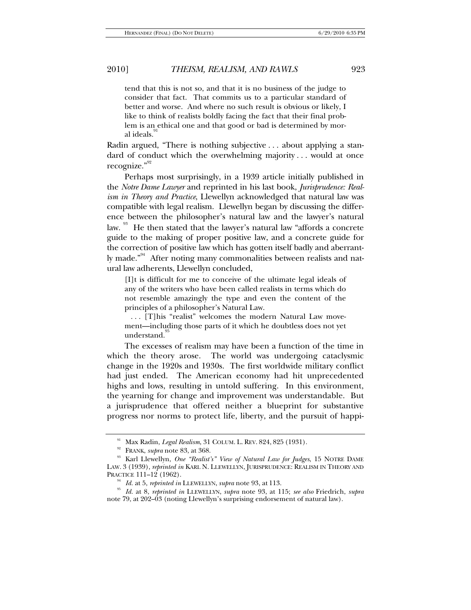tend that this is not so, and that it is no business of the judge to consider that fact. That commits us to a particular standard of better and worse. And where no such result is obvious or likely, I like to think of realists boldly facing the fact that their final problem is an ethical one and that good or bad is determined by moral ideals.

Radin argued, "There is nothing subjective . . . about applying a standard of conduct which the overwhelming majority . . . would at once recognize."<sup>92</sup>

Perhaps most surprisingly, in a 1939 article initially published in the *Notre Dame Lawyer* and reprinted in his last book, *Jurisprudence: Realism in Theory and Practice*, Llewellyn acknowledged that natural law was compatible with legal realism. Llewellyn began by discussing the difference between the philosopher's natural law and the lawyer's natural law. <sup>93</sup> He then stated that the lawyer's natural law "affords a concrete guide to the making of proper positive law, and a concrete guide for the correction of positive law which has gotten itself badly and aberrantly made."<sup>94</sup> After noting many commonalities between realists and natural law adherents, Llewellyn concluded,

[I]t is difficult for me to conceive of the ultimate legal ideals of any of the writers who have been called realists in terms which do not resemble amazingly the type and even the content of the principles of a philosopher's Natural Law.

 . . . [T]his "realist" welcomes the modern Natural Law movement—including those parts of it which he doubtless does not yet understand.

The excesses of realism may have been a function of the time in which the theory arose. The world was undergoing cataclysmic change in the 1920s and 1930s. The first worldwide military conflict had just ended. The American economy had hit unprecedented highs and lows, resulting in untold suffering. In this environment, the yearning for change and improvement was understandable. But a jurisprudence that offered neither a blueprint for substantive progress nor norms to protect life, liberty, and the pursuit of happi-

<sup>&</sup>lt;sup>91</sup> Max Radin, *Legal Realism*, 31 COLUM. L. REV. 824, 825 (1931).<br><sup>92</sup> FRANK, *supra* note 83, at 368.<br><sup>93</sup> Karl Llewellyn, *One "Realist's" View of Natural Law for Judges*, 15 NOTRE DAME LAW. 3 (1939), *reprinted in* KARL N. LLEWELLYN, JURISPRUDENCE: REALISM IN THEORY AND

<sup>&</sup>lt;sup>94</sup> *Id.* at 5, reprinted in LLEWELLYN, supra note 93, at 113.<br><sup>95</sup> *Id.* at 8, reprinted in LLEWELLYN, supra note 93, at 115; see also Friedrich, supra note 79, at 202–03 (noting Llewellyn's surprising endorsement of natural law).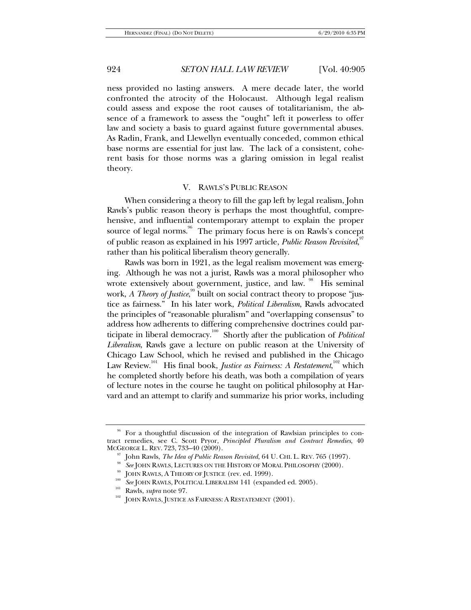ness provided no lasting answers. A mere decade later, the world confronted the atrocity of the Holocaust. Although legal realism could assess and expose the root causes of totalitarianism, the absence of a framework to assess the "ought" left it powerless to offer law and society a basis to guard against future governmental abuses. As Radin, Frank, and Llewellyn eventually conceded, common ethical base norms are essential for just law. The lack of a consistent, coherent basis for those norms was a glaring omission in legal realist theory.

#### V. RAWLS'S PUBLIC REASON

When considering a theory to fill the gap left by legal realism, John Rawls's public reason theory is perhaps the most thoughtful, comprehensive, and influential contemporary attempt to explain the proper source of legal norms.<sup>96</sup> The primary focus here is on Rawls's concept of public reason as explained in his 1997 article, *Public Reason Revisited*,<sup>97</sup> rather than his political liberalism theory generally.

Rawls was born in 1921, as the legal realism movement was emerging. Although he was not a jurist, Rawls was a moral philosopher who wrote extensively about government, justice, and law. <sup>98</sup> His seminal work, *A Theory of Justice*, 99 built on social contract theory to propose "justice as fairness." In his later work, *Political Liberalism*, Rawls advocated the principles of "reasonable pluralism" and "overlapping consensus" to address how adherents to differing comprehensive doctrines could participate in liberal democracy.<sup>100</sup> Shortly after the publication of *Political Liberalism*, Rawls gave a lecture on public reason at the University of Chicago Law School, which he revised and published in the Chicago Law Review.<sup>101</sup> His final book, *Justice as Fairness: A Restatement*,<sup>102</sup> which he completed shortly before his death, was both a compilation of years of lecture notes in the course he taught on political philosophy at Harvard and an attempt to clarify and summarize his prior works, including

<sup>&</sup>lt;sup>96</sup> For a thoughtful discussion of the integration of Rawlsian principles to contract remedies, see C. Scott Pryor, *Principled Pluralism and Contract Remedies*, 40 MCGEORGE L. REV. 723, 733–40 (2009).<br>
<sup>97</sup> John Rawls, *The Idea of Public Reason Revisited*, 64 U. CHI. L. REV. 765 (1997).<br>
<sup>98</sup> See JOHN RAWLS, LECTURES ON THE HISTORY OF MORAL PHILOSOPHY (2000).<br>
<sup>99</sup> JOHN RAWLS, A TH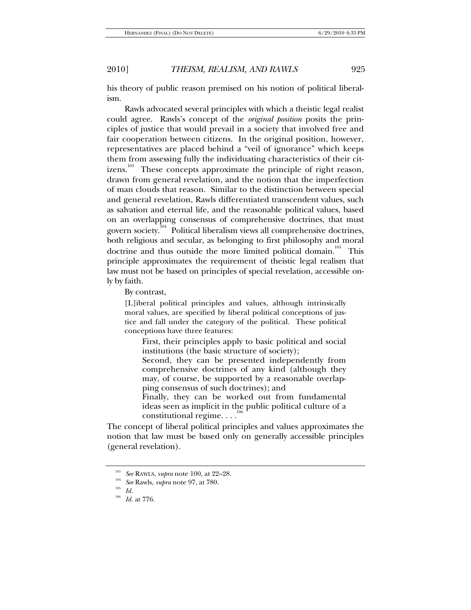his theory of public reason premised on his notion of political liberalism.

Rawls advocated several principles with which a theistic legal realist could agree. Rawls's concept of the *original position* posits the principles of justice that would prevail in a society that involved free and fair cooperation between citizens. In the original position, however, representatives are placed behind a "veil of ignorance" which keeps them from assessing fully the individuating characteristics of their citizens.<sup>103</sup> These concepts approximate the principle of right reason, drawn from general revelation, and the notion that the imperfection of man clouds that reason. Similar to the distinction between special and general revelation, Rawls differentiated transcendent values, such as salvation and eternal life, and the reasonable political values, based on an overlapping consensus of comprehensive doctrines, that must govern society.<sup>104</sup> Political liberalism views all comprehensive doctrines, both religious and secular, as belonging to first philosophy and moral doctrine and thus outside the more limited political domain.<sup>105</sup> This principle approximates the requirement of theistic legal realism that law must not be based on principles of special revelation, accessible only by faith.

By contrast,

[L]iberal political principles and values, although intrinsically moral values, are specified by liberal political conceptions of justice and fall under the category of the political. These political conceptions have three features:

First, their principles apply to basic political and social institutions (the basic structure of society);

Second, they can be presented independently from comprehensive doctrines of any kind (although they may, of course, be supported by a reasonable overlapping consensus of such doctrines); and

Finally, they can be worked out from fundamental ideas seen as implicit in the public political culture of a constitutional regime.  $\ldots$ 

The concept of liberal political principles and values approximates the notion that law must be based only on generally accessible principles (general revelation).

<sup>103</sup> *See* RAWLS, *supra* note 100, at 22–28. 104 *See* Rawls, *supra* note 97, at 780.

<sup>&</sup>lt;sup>106</sup> *Id.* at 776.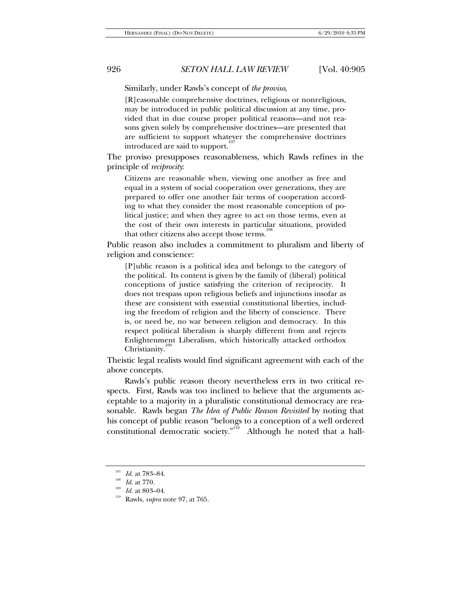Similarly, under Rawls's concept of *the proviso*,

[R]easonable comprehensive doctrines, religious or nonreligious, may be introduced in public political discussion at any time, provided that in due course proper political reasons—and not reasons given solely by comprehensive doctrines—are presented that are sufficient to support whatever the comprehensive doctrines introduced are said to support.<sup>1</sup>

The proviso presupposes reasonableness, which Rawls refines in the principle of *reciprocity*:

Citizens are reasonable when, viewing one another as free and equal in a system of social cooperation over generations, they are prepared to offer one another fair terms of cooperation according to what they consider the most reasonable conception of political justice; and when they agree to act on those terms, even at the cost of their own interests in particular situations, provided that other citizens also accept those terms.<sup>1</sup>

Public reason also includes a commitment to pluralism and liberty of religion and conscience:

[P]ublic reason is a political idea and belongs to the category of the political. Its content is given by the family of (liberal) political conceptions of justice satisfying the criterion of reciprocity. It does not trespass upon religious beliefs and injunctions insofar as these are consistent with essential constitutional liberties, including the freedom of religion and the liberty of conscience. There is, or need be, no war between religion and democracy. In this respect political liberalism is sharply different from and rejects Enlightenment Liberalism, which historically attacked orthodox Christianity.

Theistic legal realists would find significant agreement with each of the above concepts.

Rawls's public reason theory nevertheless errs in two critical respects. First, Rawls was too inclined to believe that the arguments acceptable to a majority in a pluralistic constitutional democracy are reasonable. Rawls began *The Idea of Public Reason Revisited* by noting that his concept of public reason "belongs to a conception of a well ordered constitutional democratic society."<sup>110</sup> Although he noted that a hall-

<sup>&</sup>lt;sup>107</sup> *Id.* at 783–84.<br><sup>108</sup> *Id.* at 770.<br><sup>109</sup> *Id.* at 803–04.<br><sup>110</sup> Rawls, *supra* note 97, at 765.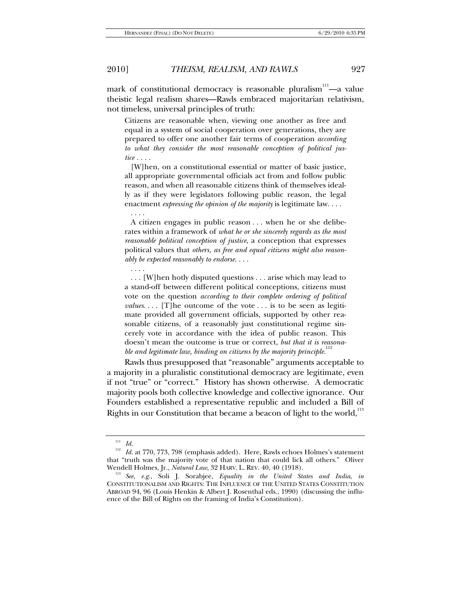mark of constitutional democracy is reasonable pluralism<sup>111</sup>—a value theistic legal realism shares—Rawls embraced majoritarian relativism, not timeless, universal principles of truth:

Citizens are reasonable when, viewing one another as free and equal in a system of social cooperation over generations, they are prepared to offer one another fair terms of cooperation *according to what they consider the most reasonable conception of political justice . . .* .

 [W]hen, on a constitutional essential or matter of basic justice, all appropriate governmental officials act from and follow public reason, and when all reasonable citizens think of themselves ideally as if they were legislators following public reason, the legal enactment *expressing the opinion of the majority* is legitimate law. . . .

 A citizen engages in public reason . . . when he or she deliberates within a framework of *what he or she sincerely regards as the most reasonable political conception of justice*, a conception that expresses political values that *others, as free and equal citizens might also reasonably be expected reasonably to endorse*. . . .

. . . .

. . . .

 . . . [W]hen hotly disputed questions . . . arise which may lead to a stand-off between different political conceptions, citizens must vote on the question *according to their complete ordering of political values...*. [T]he outcome of the vote... is to be seen as legitimate provided all government officials, supported by other reasonable citizens, of a reasonably just constitutional regime sincerely vote in accordance with the idea of public reason. This doesn't mean the outcome is true or correct, *but that it is reasona-*112 *ble and legitimate law, binding on citizens by the majority principle*.

Rawls thus presupposed that "reasonable" arguments acceptable to a majority in a pluralistic constitutional democracy are legitimate, even if not "true" or "correct." History has shown otherwise. A democratic majority pools both collective knowledge and collective ignorance. Our Founders established a representative republic and included a Bill of Rights in our Constitution that became a beacon of light to the world, $113$ 

<sup>111</sup> *Id.*

<sup>&</sup>lt;sup>112</sup> *Id.* at 770, 773, 798 (emphasis added). Here, Rawls echoes Holmes's statement that "truth was the majority vote of that nation that could lick all others." Oliver

Wendell Holmes, Jr., *Natural Law*, 32 HARV. L. REV. 40, 40 (1918).<br><sup>113</sup> See, e.g., Soli J. Sorabjee, *Equality in the United States and India*, *in* CONSTITUTIONALISM AND RIGHTS: THE INFLUENCE OF THE UNITED STATES CONSTITUTION ABROAD 94, 96 (Louis Henkin & Albert J. Rosenthal eds., 1990) (discussing the influence of the Bill of Rights on the framing of India's Constitution).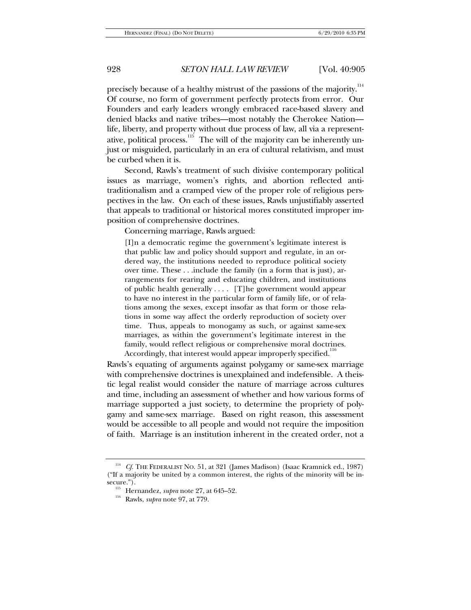precisely because of a healthy mistrust of the passions of the majority.<sup>114</sup> Of course, no form of government perfectly protects from error. Our Founders and early leaders wrongly embraced race-based slavery and denied blacks and native tribes—most notably the Cherokee Nation life, liberty, and property without due process of law, all via a representative, political process. $115$  The will of the majority can be inherently unjust or misguided, particularly in an era of cultural relativism, and must be curbed when it is.

Second, Rawls's treatment of such divisive contemporary political issues as marriage, women's rights, and abortion reflected antitraditionalism and a cramped view of the proper role of religious perspectives in the law. On each of these issues, Rawls unjustifiably asserted that appeals to traditional or historical mores constituted improper imposition of comprehensive doctrines.

Concerning marriage, Rawls argued:

[I]n a democratic regime the government's legitimate interest is that public law and policy should support and regulate, in an ordered way, the institutions needed to reproduce political society over time. These . . .include the family (in a form that is just), arrangements for rearing and educating children, and institutions of public health generally . . . . [T]he government would appear to have no interest in the particular form of family life, or of relations among the sexes, except insofar as that form or those relations in some way affect the orderly reproduction of society over time. Thus, appeals to monogamy as such, or against same-sex marriages, as within the government's legitimate interest in the family, would reflect religious or comprehensive moral doctrines. Accordingly, that interest would appear improperly specified.<sup>116</sup>

Rawls's equating of arguments against polygamy or same-sex marriage with comprehensive doctrines is unexplained and indefensible. A theistic legal realist would consider the nature of marriage across cultures and time, including an assessment of whether and how various forms of marriage supported a just society, to determine the propriety of polygamy and same-sex marriage. Based on right reason, this assessment would be accessible to all people and would not require the imposition of faith. Marriage is an institution inherent in the created order, not a

<sup>&</sup>lt;sup>114</sup> Cf. THE FEDERALIST NO. 51, at 321 (James Madison) (Isaac Kramnick ed., 1987) ("If a majority be united by a common interest, the rights of the minority will be insecure."). 115 Hernandez, *supra* note 27, at 645–52. 116 Rawls, *supra* note 97, at 779.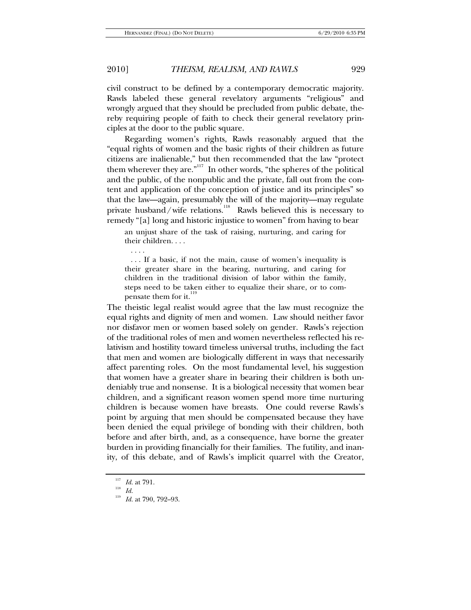civil construct to be defined by a contemporary democratic majority. Rawls labeled these general revelatory arguments "religious" and wrongly argued that they should be precluded from public debate, thereby requiring people of faith to check their general revelatory principles at the door to the public square.

Regarding women's rights, Rawls reasonably argued that the "equal rights of women and the basic rights of their children as future citizens are inalienable," but then recommended that the law "protect them wherever they are."<sup>117</sup> In other words, "the spheres of the political and the public, of the nonpublic and the private, fall out from the content and application of the conception of justice and its principles" so that the law—again, presumably the will of the majority—may regulate private husband/wife relations.<sup>118</sup> Rawls believed this is necessary to remedy "[a] long and historic injustice to women" from having to bear

an unjust share of the task of raising, nurturing, and caring for their children. . . .

 . . . If a basic, if not the main, cause of women's inequality is their greater share in the bearing, nurturing, and caring for children in the traditional division of labor within the family, steps need to be taken either to equalize their share, or to compensate them for it.<sup>1</sup>

The theistic legal realist would agree that the law must recognize the equal rights and dignity of men and women. Law should neither favor nor disfavor men or women based solely on gender. Rawls's rejection of the traditional roles of men and women nevertheless reflected his relativism and hostility toward timeless universal truths, including the fact that men and women are biologically different in ways that necessarily affect parenting roles. On the most fundamental level, his suggestion that women have a greater share in bearing their children is both undeniably true and nonsense. It is a biological necessity that women bear children, and a significant reason women spend more time nurturing children is because women have breasts. One could reverse Rawls's point by arguing that men should be compensated because they have been denied the equal privilege of bonding with their children, both before and after birth, and, as a consequence, have borne the greater burden in providing financially for their families. The futility, and inanity, of this debate, and of Rawls's implicit quarrel with the Creator,

<sup>117</sup> *Id.* at 791. 118 *Id.*

<sup>119</sup> *Id.* at 790, 792–93.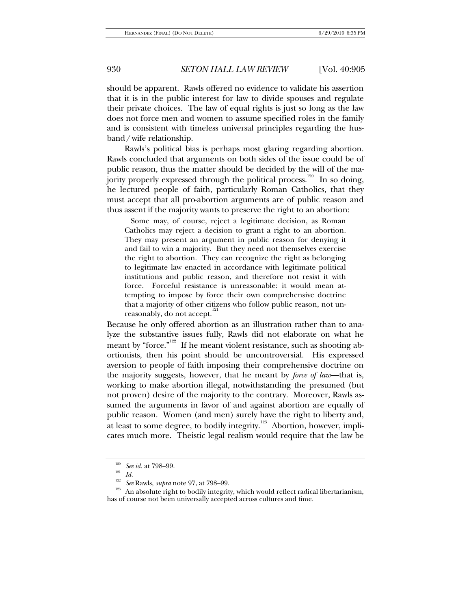should be apparent. Rawls offered no evidence to validate his assertion that it is in the public interest for law to divide spouses and regulate their private choices. The law of equal rights is just so long as the law does not force men and women to assume specified roles in the family and is consistent with timeless universal principles regarding the husband/wife relationship.

Rawls's political bias is perhaps most glaring regarding abortion. Rawls concluded that arguments on both sides of the issue could be of public reason, thus the matter should be decided by the will of the majority properly expressed through the political process.<sup>120</sup> In so doing, he lectured people of faith, particularly Roman Catholics, that they must accept that all pro-abortion arguments are of public reason and thus assent if the majority wants to preserve the right to an abortion:

 Some may, of course, reject a legitimate decision, as Roman Catholics may reject a decision to grant a right to an abortion. They may present an argument in public reason for denying it and fail to win a majority. But they need not themselves exercise the right to abortion. They can recognize the right as belonging to legitimate law enacted in accordance with legitimate political institutions and public reason, and therefore not resist it with force. Forceful resistance is unreasonable: it would mean attempting to impose by force their own comprehensive doctrine that a majority of other citizens who follow public reason, not unreasonably, do not accept.<sup>12</sup>

Because he only offered abortion as an illustration rather than to analyze the substantive issues fully, Rawls did not elaborate on what he meant by "force."<sup>122</sup> If he meant violent resistance, such as shooting abortionists, then his point should be uncontroversial. His expressed aversion to people of faith imposing their comprehensive doctrine on the majority suggests, however, that he meant by *force of law*—that is, working to make abortion illegal, notwithstanding the presumed (but not proven) desire of the majority to the contrary. Moreover, Rawls assumed the arguments in favor of and against abortion are equally of public reason. Women (and men) surely have the right to liberty and, at least to some degree, to bodily integrity.<sup>123</sup> Abortion, however, implicates much more. Theistic legal realism would require that the law be

<sup>&</sup>lt;sup>120</sup> *See id.* at 798–99.<br><sup>121</sup> *Id.*<br><sup>122</sup> *S*<sub>1</sub> **D** radio veloce.

See Rawls, *supra* note 97, at 798–99.<br>An absolute right to bodily integrity, which would reflect radical libertarianism, has of course not been universally accepted across cultures and time.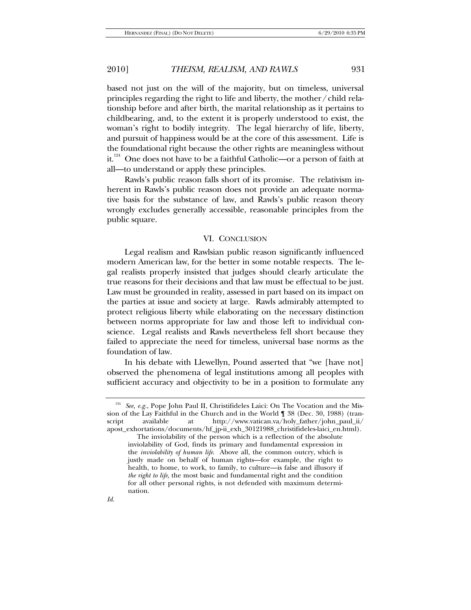based not just on the will of the majority, but on timeless, universal principles regarding the right to life and liberty, the mother/child relationship before and after birth, the marital relationship as it pertains to childbearing, and, to the extent it is properly understood to exist, the woman's right to bodily integrity. The legal hierarchy of life, liberty, and pursuit of happiness would be at the core of this assessment. Life is the foundational right because the other rights are meaningless without it.<sup>124</sup> One does not have to be a faithful Catholic—or a person of faith at all—to understand or apply these principles.

Rawls's public reason falls short of its promise. The relativism inherent in Rawls's public reason does not provide an adequate normative basis for the substance of law, and Rawls's public reason theory wrongly excludes generally accessible, reasonable principles from the public square.

#### VI. CONCLUSION

Legal realism and Rawlsian public reason significantly influenced modern American law, for the better in some notable respects. The legal realists properly insisted that judges should clearly articulate the true reasons for their decisions and that law must be effectual to be just. Law must be grounded in reality, assessed in part based on its impact on the parties at issue and society at large. Rawls admirably attempted to protect religious liberty while elaborating on the necessary distinction between norms appropriate for law and those left to individual conscience. Legal realists and Rawls nevertheless fell short because they failed to appreciate the need for timeless, universal base norms as the foundation of law.

In his debate with Llewellyn, Pound asserted that "we [have not] observed the phenomena of legal institutions among all peoples with sufficient accuracy and objectivity to be in a position to formulate any

See, e.g., Pope John Paul II, Christifideles Laici: On The Vocation and the Mission of the Lay Faithful in the Church and in the World ¶ 38 (Dec. 30, 1988) (tran-<br>script available at http://www.vatican.va/holy father/iohn paul ii/ at http://www.vatican.va/holy\_father/john\_paul\_ii/ apost\_exhortations/documents/hf\_jp-ii\_exh\_30121988\_christifideles-laici\_en.html).

The inviolability of the person which is a reflection of the absolute inviolability of God, finds its primary and fundamental expression in the *inviolability of human life*.Above all, the common outcry, which is justly made on behalf of human rights—for example, the right to health, to home, to work, to family, to culture—is false and illusory if *the right to life*, the most basic and fundamental right and the condition for all other personal rights, is not defended with maximum determination.